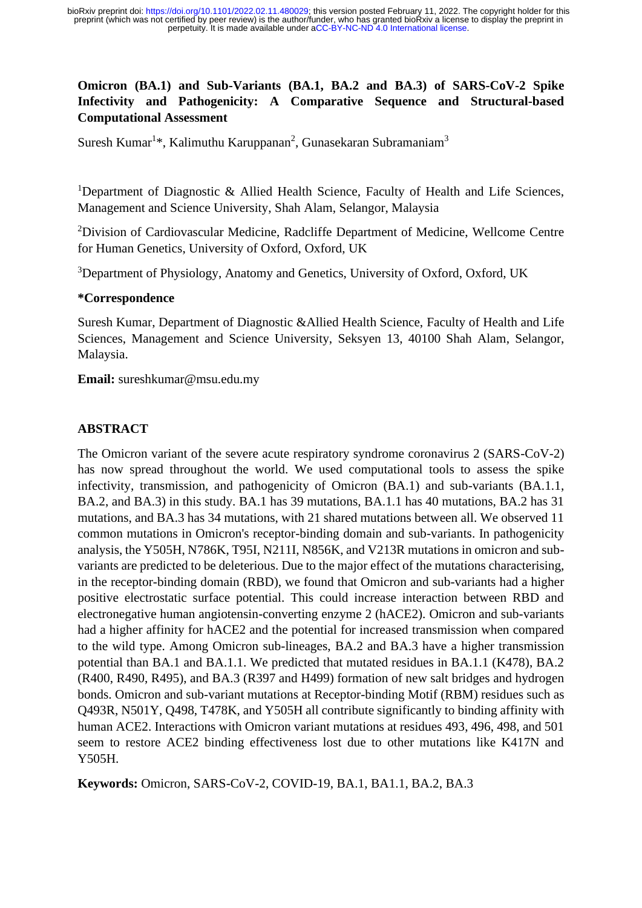# **Omicron (BA.1) and Sub-Variants (BA.1, BA.2 and BA.3) of SARS-CoV-2 Spike Infectivity and Pathogenicity: A Comparative Sequence and Structural-based Computational Assessment**

Suresh Kumar<sup>1\*</sup>, Kalimuthu Karuppanan<sup>2</sup>, Gunasekaran Subramaniam<sup>3</sup>

<sup>1</sup>Department of Diagnostic & Allied Health Science, Faculty of Health and Life Sciences, Management and Science University, Shah Alam, Selangor, Malaysia

<sup>2</sup>Division of Cardiovascular Medicine, Radcliffe Department of Medicine, Wellcome Centre for Human Genetics, University of Oxford, Oxford, UK

<sup>3</sup>Department of Physiology, Anatomy and Genetics, University of Oxford, Oxford, UK

#### **\*Correspondence**

Suresh Kumar, Department of Diagnostic &Allied Health Science, Faculty of Health and Life Sciences, Management and Science University, Seksyen 13, 40100 Shah Alam, Selangor, Malaysia.

**Email:** sureshkumar@msu.edu.my

#### **ABSTRACT**

The Omicron variant of the severe acute respiratory syndrome coronavirus 2 (SARS-CoV-2) has now spread throughout the world. We used computational tools to assess the spike infectivity, transmission, and pathogenicity of Omicron (BA.1) and sub-variants (BA.1.1, BA.2, and BA.3) in this study. BA.1 has 39 mutations, BA.1.1 has 40 mutations, BA.2 has 31 mutations, and BA.3 has 34 mutations, with 21 shared mutations between all. We observed 11 common mutations in Omicron's receptor-binding domain and sub-variants. In pathogenicity analysis, the Y505H, N786K, T95I, N211I, N856K, and V213R mutations in omicron and subvariants are predicted to be deleterious. Due to the major effect of the mutations characterising, in the receptor-binding domain (RBD), we found that Omicron and sub-variants had a higher positive electrostatic surface potential. This could increase interaction between RBD and electronegative human angiotensin-converting enzyme 2 (hACE2). Omicron and sub-variants had a higher affinity for hACE2 and the potential for increased transmission when compared to the wild type. Among Omicron sub-lineages, BA.2 and BA.3 have a higher transmission potential than BA.1 and BA.1.1. We predicted that mutated residues in BA.1.1 (K478), BA.2 (R400, R490, R495), and BA.3 (R397 and H499) formation of new salt bridges and hydrogen bonds. Omicron and sub-variant mutations at Receptor-binding Motif (RBM) residues such as Q493R, N501Y, Q498, T478K, and Y505H all contribute significantly to binding affinity with human ACE2. Interactions with Omicron variant mutations at residues 493, 496, 498, and 501 seem to restore ACE2 binding effectiveness lost due to other mutations like K417N and Y505H.

**Keywords:** Omicron, SARS-CoV-2, COVID-19, BA.1, BA1.1, BA.2, BA.3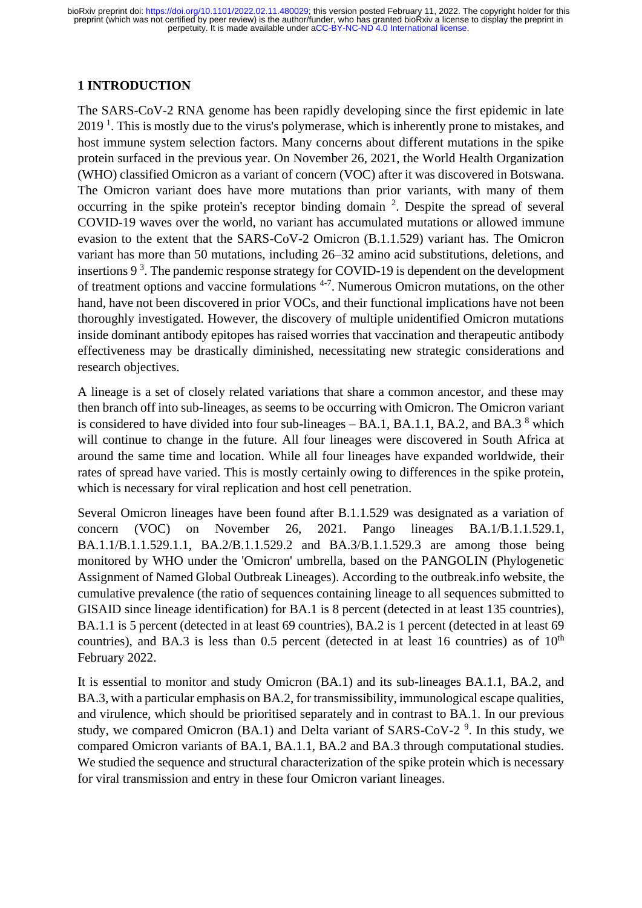### **1 INTRODUCTION**

The SARS-CoV-2 RNA genome has been rapidly developing since the first epidemic in late 2019<sup>1</sup>. This is mostly due to the virus's polymerase, which is inherently prone to mistakes, and host immune system selection factors. Many concerns about different mutations in the spike protein surfaced in the previous year. On November 26, 2021, the World Health Organization (WHO) classified Omicron as a variant of concern (VOC) after it was discovered in Botswana. The Omicron variant does have more mutations than prior variants, with many of them occurring in the spike protein's receptor binding domain <sup>2</sup>. Despite the spread of several COVID-19 waves over the world, no variant has accumulated mutations or allowed immune evasion to the extent that the SARS-CoV-2 Omicron (B.1.1.529) variant has. The Omicron variant has more than 50 mutations, including 26–32 amino acid substitutions, deletions, and insertions  $9<sup>3</sup>$ . The pandemic response strategy for COVID-19 is dependent on the development of treatment options and vaccine formulations <sup>4-7</sup>. Numerous Omicron mutations, on the other hand, have not been discovered in prior VOCs, and their functional implications have not been thoroughly investigated. However, the discovery of multiple unidentified Omicron mutations inside dominant antibody epitopes has raised worries that vaccination and therapeutic antibody effectiveness may be drastically diminished, necessitating new strategic considerations and research objectives.

A lineage is a set of closely related variations that share a common ancestor, and these may then branch off into sub-lineages, as seems to be occurring with Omicron. The Omicron variant is considered to have divided into four sub-lineages  $-$  BA.1, BA.1.1, BA.2, and BA.3<sup>8</sup> which will continue to change in the future. All four lineages were discovered in South Africa at around the same time and location. While all four lineages have expanded worldwide, their rates of spread have varied. This is mostly certainly owing to differences in the spike protein, which is necessary for viral replication and host cell penetration.

Several Omicron lineages have been found after B.1.1.529 was designated as a variation of concern (VOC) on November 26, 2021. Pango lineages BA.1/B.1.1.529.1, BA.1.1/B.1.1.529.1.1, BA.2/B.1.1.529.2 and BA.3/B.1.1.529.3 are among those being monitored by WHO under the 'Omicron' umbrella, based on the PANGOLIN (Phylogenetic Assignment of Named Global Outbreak Lineages). According to the outbreak.info website, the cumulative prevalence (the ratio of sequences containing lineage to all sequences submitted to GISAID since lineage identification) for BA.1 is 8 percent (detected in at least 135 countries), BA.1.1 is 5 percent (detected in at least 69 countries), BA.2 is 1 percent (detected in at least 69 countries), and BA.3 is less than  $0.5$  percent (detected in at least 16 countries) as of  $10<sup>th</sup>$ February 2022.

It is essential to monitor and study Omicron (BA.1) and its sub-lineages BA.1.1, BA.2, and BA.3, with a particular emphasis on BA.2, for transmissibility, immunological escape qualities, and virulence, which should be prioritised separately and in contrast to BA.1. In our previous study, we compared Omicron  $(BA.1)$  and Delta variant of SARS-CoV-2<sup>9</sup>. In this study, we compared Omicron variants of BA.1, BA.1.1, BA.2 and BA.3 through computational studies. We studied the sequence and structural characterization of the spike protein which is necessary for viral transmission and entry in these four Omicron variant lineages.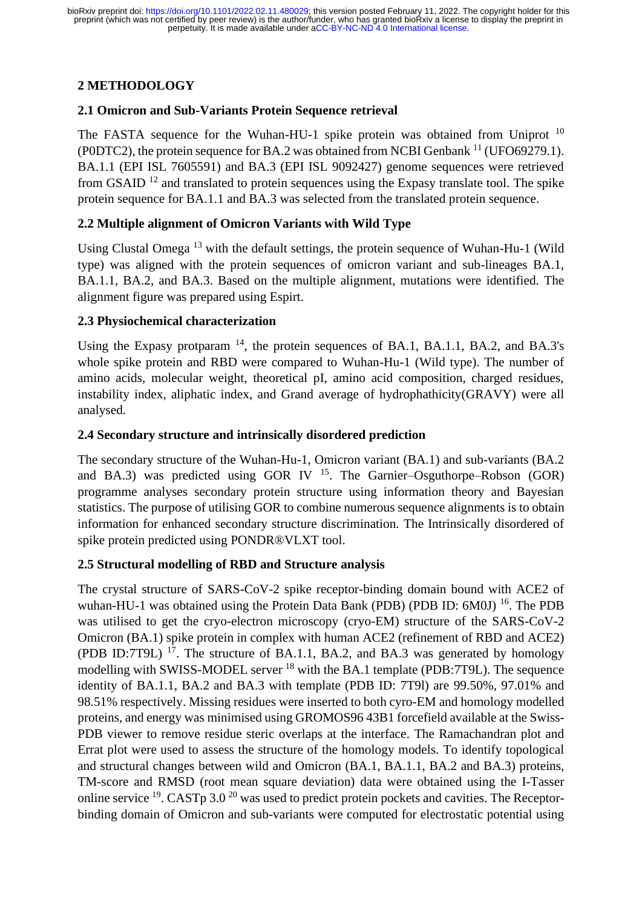# **2 METHODOLOGY**

# **2.1 Omicron and Sub-Variants Protein Sequence retrieval**

The FASTA sequence for the Wuhan-HU-1 spike protein was obtained from Uniprot <sup>10</sup> (P0DTC2), the protein sequence for BA.2 was obtained from NCBI Genbank <sup>11</sup> (UFO69279.1). BA.1.1 (EPI ISL 7605591) and BA.3 (EPI ISL 9092427) genome sequences were retrieved from GSAID  $^{12}$  and translated to protein sequences using the Expasy translate tool. The spike protein sequence for BA.1.1 and BA.3 was selected from the translated protein sequence.

# **2.2 Multiple alignment of Omicron Variants with Wild Type**

Using Clustal Omega <sup>13</sup> with the default settings, the protein sequence of Wuhan-Hu-1 (Wild type) was aligned with the protein sequences of omicron variant and sub-lineages BA.1, BA.1.1, BA.2, and BA.3. Based on the multiple alignment, mutations were identified. The alignment figure was prepared using Espirt.

# **2.3 Physiochemical characterization**

Using the Expasy protparam <sup>14</sup>, the protein sequences of BA.1, BA.1.1, BA.2, and BA.3's whole spike protein and RBD were compared to Wuhan-Hu-1 (Wild type). The number of amino acids, molecular weight, theoretical pI, amino acid composition, charged residues, instability index, aliphatic index, and Grand average of hydrophathicity(GRAVY) were all analysed.

# **2.4 Secondary structure and intrinsically disordered prediction**

The secondary structure of the Wuhan-Hu-1, Omicron variant (BA.1) and sub-variants (BA.2 and BA.3) was predicted using GOR IV  $^{15}$ . The Garnier–Osguthorpe–Robson (GOR) programme analyses secondary protein structure using information theory and Bayesian statistics. The purpose of utilising GOR to combine numerous sequence alignments is to obtain information for enhanced secondary structure discrimination. The Intrinsically disordered of spike protein predicted using PONDR®VLXT tool.

# **2.5 Structural modelling of RBD and Structure analysis**

The crystal structure of SARS-CoV-2 spike receptor-binding domain bound with ACE2 of wuhan-HU-1 was obtained using the Protein Data Bank (PDB) (PDB ID: 6M0J)<sup>16</sup>. The PDB was utilised to get the cryo-electron microscopy (cryo-EM) structure of the SARS-CoV-2 Omicron (BA.1) spike protein in complex with human ACE2 (refinement of RBD and ACE2) (PDB ID:7T9L)  $^{17}$ . The structure of BA.1.1, BA.2, and BA.3 was generated by homology modelling with SWISS-MODEL server <sup>18</sup> with the BA.1 template (PDB:7T9L). The sequence identity of BA.1.1, BA.2 and BA.3 with template (PDB ID: 7T9l) are 99.50%, 97.01% and 98.51% respectively. Missing residues were inserted to both cyro-EM and homology modelled proteins, and energy was minimised using GROMOS96 43B1 forcefield available at the Swiss-PDB viewer to remove residue steric overlaps at the interface. The Ramachandran plot and Errat plot were used to assess the structure of the homology models. To identify topological and structural changes between wild and Omicron (BA.1, BA.1.1, BA.2 and BA.3) proteins, TM-score and RMSD (root mean square deviation) data were obtained using the I-Tasser online service <sup>19</sup>. CASTp 3.0<sup>20</sup> was used to predict protein pockets and cavities. The Receptorbinding domain of Omicron and sub-variants were computed for electrostatic potential using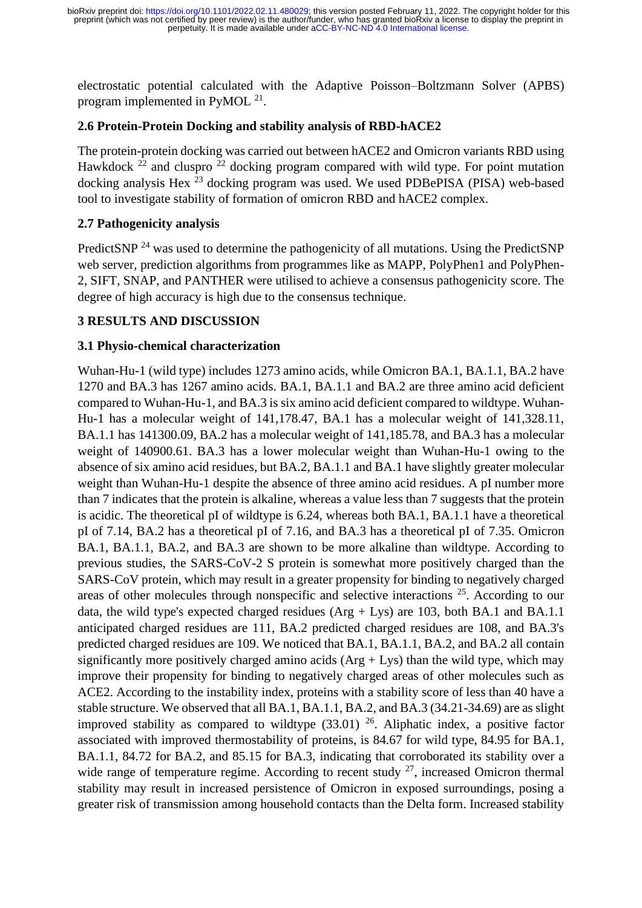electrostatic potential calculated with the Adaptive Poisson–Boltzmann Solver (APBS) program implemented in PyMOL  $^{21}$ .

## **2.6 Protein-Protein Docking and stability analysis of RBD-hACE2**

The protein-protein docking was carried out between hACE2 and Omicron variants RBD using Hawkdock  $\frac{2}{2}$  and cluspro  $\frac{2}{2}$  docking program compared with wild type. For point mutation docking analysis Hex  $^{23}$  docking program was used. We used PDBePISA (PISA) web-based tool to investigate stability of formation of omicron RBD and hACE2 complex.

## **2.7 Pathogenicity analysis**

PredictSNP<sup>24</sup> was used to determine the pathogenicity of all mutations. Using the PredictSNP web server, prediction algorithms from programmes like as MAPP, PolyPhen1 and PolyPhen-2, SIFT, SNAP, and PANTHER were utilised to achieve a consensus pathogenicity score. The degree of high accuracy is high due to the consensus technique.

### **3 RESULTS AND DISCUSSION**

### **3.1 Physio-chemical characterization**

Wuhan-Hu-1 (wild type) includes 1273 amino acids, while Omicron BA.1, BA.1.1, BA.2 have 1270 and BA.3 has 1267 amino acids. BA.1, BA.1.1 and BA.2 are three amino acid deficient compared to Wuhan-Hu-1, and BA.3 is six amino acid deficient compared to wildtype. Wuhan-Hu-1 has a molecular weight of 141,178.47, BA.1 has a molecular weight of 141,328.11, BA.1.1 has 141300.09, BA.2 has a molecular weight of 141,185.78, and BA.3 has a molecular weight of 140900.61. BA.3 has a lower molecular weight than Wuhan-Hu-1 owing to the absence of six amino acid residues, but BA.2, BA.1.1 and BA.1 have slightly greater molecular weight than Wuhan-Hu-1 despite the absence of three amino acid residues. A pI number more than 7 indicates that the protein is alkaline, whereas a value less than 7 suggests that the protein is acidic. The theoretical pI of wildtype is 6.24, whereas both BA.1, BA.1.1 have a theoretical pI of 7.14, BA.2 has a theoretical pI of 7.16, and BA.3 has a theoretical pI of 7.35. Omicron BA.1, BA.1.1, BA.2, and BA.3 are shown to be more alkaline than wildtype. According to previous studies, the SARS-CoV-2 S protein is somewhat more positively charged than the SARS-CoV protein, which may result in a greater propensity for binding to negatively charged areas of other molecules through nonspecific and selective interactions  $25$ . According to our data, the wild type's expected charged residues  $(Arg + Lys)$  are 103, both BA.1 and BA.1.1 anticipated charged residues are 111, BA.2 predicted charged residues are 108, and BA.3's predicted charged residues are 109. We noticed that BA.1, BA.1.1, BA.2, and BA.2 all contain significantly more positively charged amino acids  $(Arg + Lys)$  than the wild type, which may improve their propensity for binding to negatively charged areas of other molecules such as ACE2. According to the instability index, proteins with a stability score of less than 40 have a stable structure. We observed that all BA.1, BA.1.1, BA.2, and BA.3 (34.21-34.69) are as slight improved stability as compared to wildtype  $(33.01)^{26}$ . Aliphatic index, a positive factor associated with improved thermostability of proteins, is 84.67 for wild type, 84.95 for BA.1, BA.1.1, 84.72 for BA.2, and 85.15 for BA.3, indicating that corroborated its stability over a wide range of temperature regime. According to recent study  $27$ , increased Omicron thermal stability may result in increased persistence of Omicron in exposed surroundings, posing a greater risk of transmission among household contacts than the Delta form. Increased stability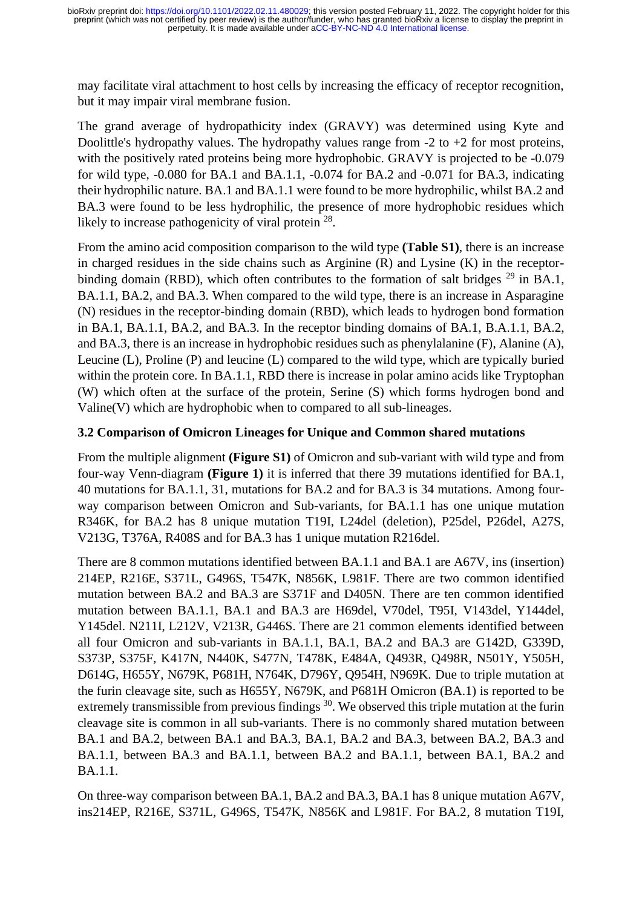may facilitate viral attachment to host cells by increasing the efficacy of receptor recognition, but it may impair viral membrane fusion.

The grand average of hydropathicity index (GRAVY) was determined using Kyte and Doolittle's hydropathy values. The hydropathy values range from -2 to +2 for most proteins, with the positively rated proteins being more hydrophobic. GRAVY is projected to be -0.079 for wild type, -0.080 for BA.1 and BA.1.1, -0.074 for BA.2 and -0.071 for BA.3, indicating their hydrophilic nature. BA.1 and BA.1.1 were found to be more hydrophilic, whilst BA.2 and BA.3 were found to be less hydrophilic, the presence of more hydrophobic residues which likely to increase pathogenicity of viral protein <sup>28</sup>.

From the amino acid composition comparison to the wild type **(Table S1)**, there is an increase in charged residues in the side chains such as Arginine (R) and Lysine (K) in the receptorbinding domain (RBD), which often contributes to the formation of salt bridges  $^{29}$  in BA.1, BA.1.1, BA.2, and BA.3. When compared to the wild type, there is an increase in Asparagine (N) residues in the receptor-binding domain (RBD), which leads to hydrogen bond formation in BA.1, BA.1.1, BA.2, and BA.3. In the receptor binding domains of BA.1, B.A.1.1, BA.2, and BA.3, there is an increase in hydrophobic residues such as phenylalanine (F), Alanine (A), Leucine (L), Proline (P) and leucine (L) compared to the wild type, which are typically buried within the protein core. In BA.1.1, RBD there is increase in polar amino acids like Tryptophan (W) which often at the surface of the protein, Serine (S) which forms hydrogen bond and Valine(V) which are hydrophobic when to compared to all sub-lineages.

## **3.2 Comparison of Omicron Lineages for Unique and Common shared mutations**

From the multiple alignment **(Figure S1)** of Omicron and sub-variant with wild type and from four-way Venn-diagram **(Figure 1)** it is inferred that there 39 mutations identified for BA.1, 40 mutations for BA.1.1, 31, mutations for BA.2 and for BA.3 is 34 mutations. Among fourway comparison between Omicron and Sub-variants, for BA.1.1 has one unique mutation R346K, for BA.2 has 8 unique mutation T19I, L24del (deletion), P25del, P26del, A27S, V213G, T376A, R408S and for BA.3 has 1 unique mutation R216del.

There are 8 common mutations identified between BA.1.1 and BA.1 are A67V, ins (insertion) 214EP, R216E, S371L, G496S, T547K, N856K, L981F. There are two common identified mutation between BA.2 and BA.3 are S371F and D405N. There are ten common identified mutation between BA.1.1, BA.1 and BA.3 are H69del, V70del, T95I, V143del, Y144del, Y145del. N211I, L212V, V213R, G446S. There are 21 common elements identified between all four Omicron and sub-variants in BA.1.1, BA.1, BA.2 and BA.3 are G142D, G339D, S373P, S375F, K417N, N440K, S477N, T478K, E484A, Q493R, Q498R, N501Y, Y505H, D614G, H655Y, N679K, P681H, N764K, D796Y, Q954H, N969K. Due to triple mutation at the furin cleavage site, such as H655Y, N679K, and P681H Omicron (BA.1) is reported to be extremely transmissible from previous findings <sup>30</sup>. We observed this triple mutation at the furin cleavage site is common in all sub-variants. There is no commonly shared mutation between BA.1 and BA.2, between BA.1 and BA.3, BA.1, BA.2 and BA.3, between BA.2, BA.3 and BA.1.1, between BA.3 and BA.1.1, between BA.2 and BA.1.1, between BA.1, BA.2 and BA.1.1.

On three-way comparison between BA.1, BA.2 and BA.3, BA.1 has 8 unique mutation A67V, ins214EP, R216E, S371L, G496S, T547K, N856K and L981F. For BA.2, 8 mutation T19I,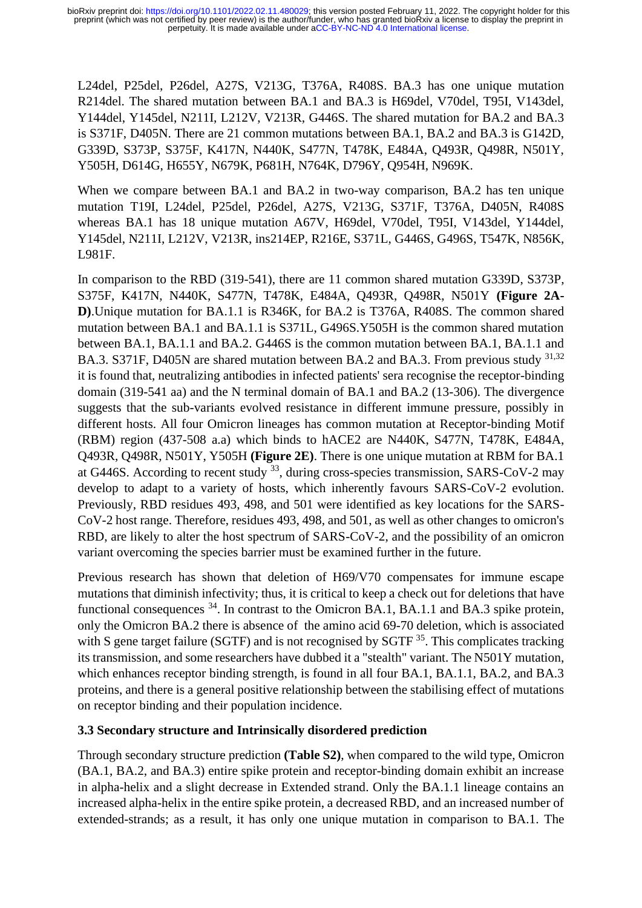L24del, P25del, P26del, A27S, V213G, T376A, R408S. BA.3 has one unique mutation R214del. The shared mutation between BA.1 and BA.3 is H69del, V70del, T95I, V143del, Y144del, Y145del, N211I, L212V, V213R, G446S. The shared mutation for BA.2 and BA.3 is S371F, D405N. There are 21 common mutations between BA.1, BA.2 and BA.3 is G142D, G339D, S373P, S375F, K417N, N440K, S477N, T478K, E484A, Q493R, Q498R, N501Y, Y505H, D614G, H655Y, N679K, P681H, N764K, D796Y, Q954H, N969K.

When we compare between BA.1 and BA.2 in two-way comparison, BA.2 has ten unique mutation T19I, L24del, P25del, P26del, A27S, V213G, S371F, T376A, D405N, R408S whereas BA.1 has 18 unique mutation A67V, H69del, V70del, T95I, V143del, Y144del, Y145del, N211I, L212V, V213R, ins214EP, R216E, S371L, G446S, G496S, T547K, N856K, L981F.

In comparison to the RBD (319-541), there are 11 common shared mutation G339D, S373P, S375F, K417N, N440K, S477N, T478K, E484A, Q493R, Q498R, N501Y **(Figure 2A-D)**.Unique mutation for BA.1.1 is R346K, for BA.2 is T376A, R408S. The common shared mutation between BA.1 and BA.1.1 is S371L, G496S.Y505H is the common shared mutation between BA.1, BA.1.1 and BA.2. G446S is the common mutation between BA.1, BA.1.1 and BA.3. S371F, D405N are shared mutation between BA.2 and BA.3. From previous study 31,32 it is found that, neutralizing antibodies in infected patients' sera recognise the receptor-binding domain (319-541 aa) and the N terminal domain of BA.1 and BA.2 (13-306). The divergence suggests that the sub-variants evolved resistance in different immune pressure, possibly in different hosts. All four Omicron lineages has common mutation at Receptor-binding Motif (RBM) region (437-508 a.a) which binds to hACE2 are N440K, S477N, T478K, E484A, Q493R, Q498R, N501Y, Y505H **(Figure 2E)**. There is one unique mutation at RBM for BA.1 at G446S. According to recent study  $33$ , during cross-species transmission, SARS-CoV-2 may develop to adapt to a variety of hosts, which inherently favours SARS-CoV-2 evolution. Previously, RBD residues 493, 498, and 501 were identified as key locations for the SARS-CoV-2 host range. Therefore, residues 493, 498, and 501, as well as other changes to omicron's RBD, are likely to alter the host spectrum of SARS-CoV-2, and the possibility of an omicron variant overcoming the species barrier must be examined further in the future.

Previous research has shown that deletion of H69/V70 compensates for immune escape mutations that diminish infectivity; thus, it is critical to keep a check out for deletions that have functional consequences  $34$ . In contrast to the Omicron BA.1, BA.1.1 and BA.3 spike protein, only the Omicron BA.2 there is absence of the amino acid 69-70 deletion, which is associated with S gene target failure (SGTF) and is not recognised by SGTF <sup>35</sup>. This complicates tracking its transmission, and some researchers have dubbed it a "stealth" variant. The N501Y mutation, which enhances receptor binding strength, is found in all four BA.1, BA.1.1, BA.2, and BA.3 proteins, and there is a general positive relationship between the stabilising effect of mutations on receptor binding and their population incidence.

### **3.3 Secondary structure and Intrinsically disordered prediction**

Through secondary structure prediction **(Table S2)**, when compared to the wild type, Omicron (BA.1, BA.2, and BA.3) entire spike protein and receptor-binding domain exhibit an increase in alpha-helix and a slight decrease in Extended strand. Only the BA.1.1 lineage contains an increased alpha-helix in the entire spike protein, a decreased RBD, and an increased number of extended-strands; as a result, it has only one unique mutation in comparison to BA.1. The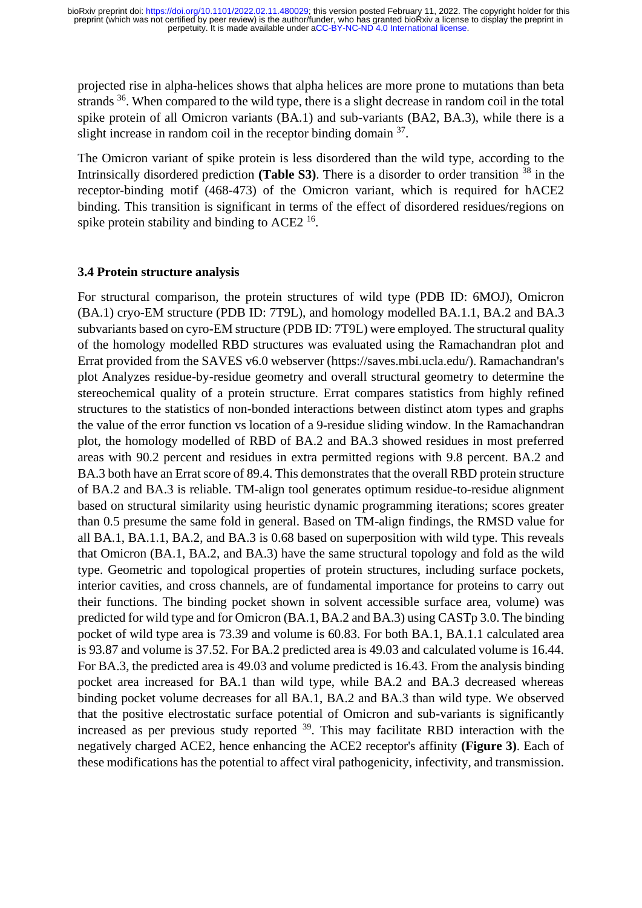projected rise in alpha-helices shows that alpha helices are more prone to mutations than beta strands <sup>36</sup>. When compared to the wild type, there is a slight decrease in random coil in the total spike protein of all Omicron variants (BA.1) and sub-variants (BA2, BA.3), while there is a slight increase in random coil in the receptor binding domain  $37$ .

The Omicron variant of spike protein is less disordered than the wild type, according to the Intrinsically disordered prediction **(Table S3)**. There is a disorder to order transition <sup>38</sup> in the receptor-binding motif (468-473) of the Omicron variant, which is required for hACE2 binding. This transition is significant in terms of the effect of disordered residues/regions on spike protein stability and binding to  $ACE2<sup>16</sup>$ .

#### **3.4 Protein structure analysis**

For structural comparison, the protein structures of wild type (PDB ID: 6MOJ), Omicron (BA.1) cryo-EM structure (PDB ID: 7T9L), and homology modelled BA.1.1, BA.2 and BA.3 subvariants based on cyro-EM structure (PDB ID: 7T9L) were employed. The structural quality of the homology modelled RBD structures was evaluated using the Ramachandran plot and Errat provided from the SAVES v6.0 webserver (https://saves.mbi.ucla.edu/). Ramachandran's plot Analyzes residue-by-residue geometry and overall structural geometry to determine the stereochemical quality of a protein structure. Errat compares statistics from highly refined structures to the statistics of non-bonded interactions between distinct atom types and graphs the value of the error function vs location of a 9-residue sliding window. In the Ramachandran plot, the homology modelled of RBD of BA.2 and BA.3 showed residues in most preferred areas with 90.2 percent and residues in extra permitted regions with 9.8 percent. BA.2 and BA.3 both have an Errat score of 89.4. This demonstrates that the overall RBD protein structure of BA.2 and BA.3 is reliable. TM-align tool generates optimum residue-to-residue alignment based on structural similarity using heuristic dynamic programming iterations; scores greater than 0.5 presume the same fold in general. Based on TM-align findings, the RMSD value for all BA.1, BA.1.1, BA.2, and BA.3 is 0.68 based on superposition with wild type. This reveals that Omicron (BA.1, BA.2, and BA.3) have the same structural topology and fold as the wild type. Geometric and topological properties of protein structures, including surface pockets, interior cavities, and cross channels, are of fundamental importance for proteins to carry out their functions. The binding pocket shown in solvent accessible surface area, volume) was predicted for wild type and for Omicron (BA.1, BA.2 and BA.3) using CASTp 3.0. The binding pocket of wild type area is 73.39 and volume is 60.83. For both BA.1, BA.1.1 calculated area is 93.87 and volume is 37.52. For BA.2 predicted area is 49.03 and calculated volume is 16.44. For BA.3, the predicted area is 49.03 and volume predicted is 16.43. From the analysis binding pocket area increased for BA.1 than wild type, while BA.2 and BA.3 decreased whereas binding pocket volume decreases for all BA.1, BA.2 and BA.3 than wild type. We observed that the positive electrostatic surface potential of Omicron and sub-variants is significantly increased as per previous study reported  $39$ . This may facilitate RBD interaction with the negatively charged ACE2, hence enhancing the ACE2 receptor's affinity **(Figure 3)**. Each of these modifications has the potential to affect viral pathogenicity, infectivity, and transmission.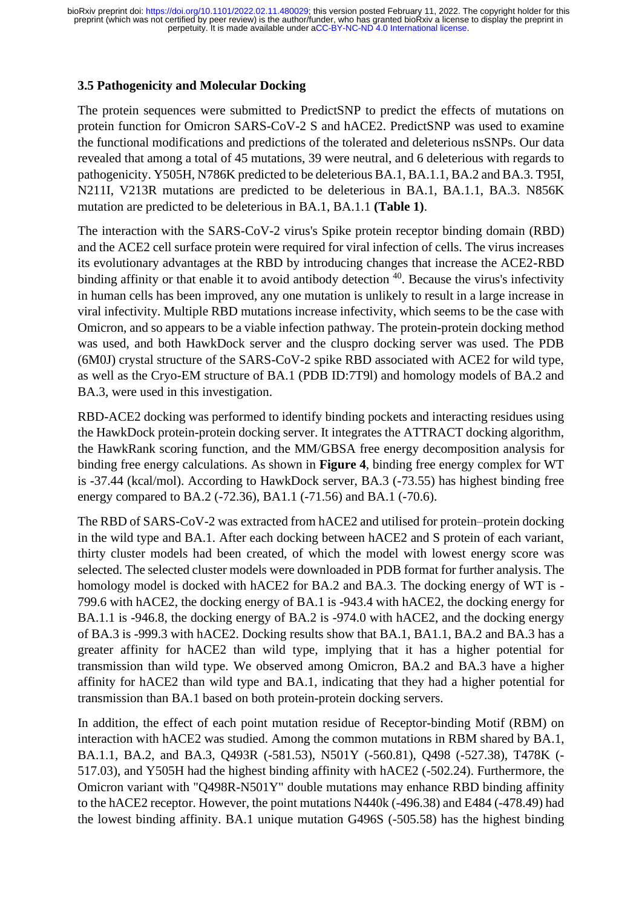### **3.5 Pathogenicity and Molecular Docking**

The protein sequences were submitted to PredictSNP to predict the effects of mutations on protein function for Omicron SARS-CoV-2 S and hACE2. PredictSNP was used to examine the functional modifications and predictions of the tolerated and deleterious nsSNPs. Our data revealed that among a total of 45 mutations, 39 were neutral, and 6 deleterious with regards to pathogenicity. Y505H, N786K predicted to be deleterious BA.1, BA.1.1, BA.2 and BA.3. T95I, N211I, V213R mutations are predicted to be deleterious in BA.1, BA.1.1, BA.3. N856K mutation are predicted to be deleterious in BA.1, BA.1.1 **(Table 1)**.

The interaction with the SARS-CoV-2 virus's Spike protein receptor binding domain (RBD) and the ACE2 cell surface protein were required for viral infection of cells. The virus increases its evolutionary advantages at the RBD by introducing changes that increase the ACE2-RBD binding affinity or that enable it to avoid antibody detection  $40$ . Because the virus's infectivity in human cells has been improved, any one mutation is unlikely to result in a large increase in viral infectivity. Multiple RBD mutations increase infectivity, which seems to be the case with Omicron, and so appears to be a viable infection pathway. The protein-protein docking method was used, and both HawkDock server and the cluspro docking server was used. The PDB (6M0J) crystal structure of the SARS-CoV-2 spike RBD associated with ACE2 for wild type, as well as the Cryo-EM structure of BA.1 (PDB ID:7T9l) and homology models of BA.2 and BA.3, were used in this investigation.

RBD-ACE2 docking was performed to identify binding pockets and interacting residues using the HawkDock protein-protein docking server. It integrates the ATTRACT docking algorithm, the HawkRank scoring function, and the MM/GBSA free energy decomposition analysis for binding free energy calculations. As shown in **Figure 4**, binding free energy complex for WT is -37.44 (kcal/mol). According to HawkDock server, BA.3 (-73.55) has highest binding free energy compared to BA.2 (-72.36), BA1.1 (-71.56) and BA.1 (-70.6).

The RBD of SARS-CoV-2 was extracted from hACE2 and utilised for protein–protein docking in the wild type and BA.1. After each docking between hACE2 and S protein of each variant, thirty cluster models had been created, of which the model with lowest energy score was selected. The selected cluster models were downloaded in PDB format for further analysis. The homology model is docked with hACE2 for BA.2 and BA.3. The docking energy of WT is - 799.6 with hACE2, the docking energy of BA.1 is -943.4 with hACE2, the docking energy for BA.1.1 is -946.8, the docking energy of BA.2 is -974.0 with hACE2, and the docking energy of BA.3 is -999.3 with hACE2. Docking results show that BA.1, BA1.1, BA.2 and BA.3 has a greater affinity for hACE2 than wild type, implying that it has a higher potential for transmission than wild type. We observed among Omicron, BA.2 and BA.3 have a higher affinity for hACE2 than wild type and BA.1, indicating that they had a higher potential for transmission than BA.1 based on both protein-protein docking servers.

In addition, the effect of each point mutation residue of Receptor-binding Motif (RBM) on interaction with hACE2 was studied. Among the common mutations in RBM shared by BA.1, BA.1.1, BA.2, and BA.3, Q493R (-581.53), N501Y (-560.81), Q498 (-527.38), T478K (- 517.03), and Y505H had the highest binding affinity with hACE2 (-502.24). Furthermore, the Omicron variant with "Q498R-N501Y" double mutations may enhance RBD binding affinity to the hACE2 receptor. However, the point mutations N440k (-496.38) and E484 (-478.49) had the lowest binding affinity. BA.1 unique mutation G496S (-505.58) has the highest binding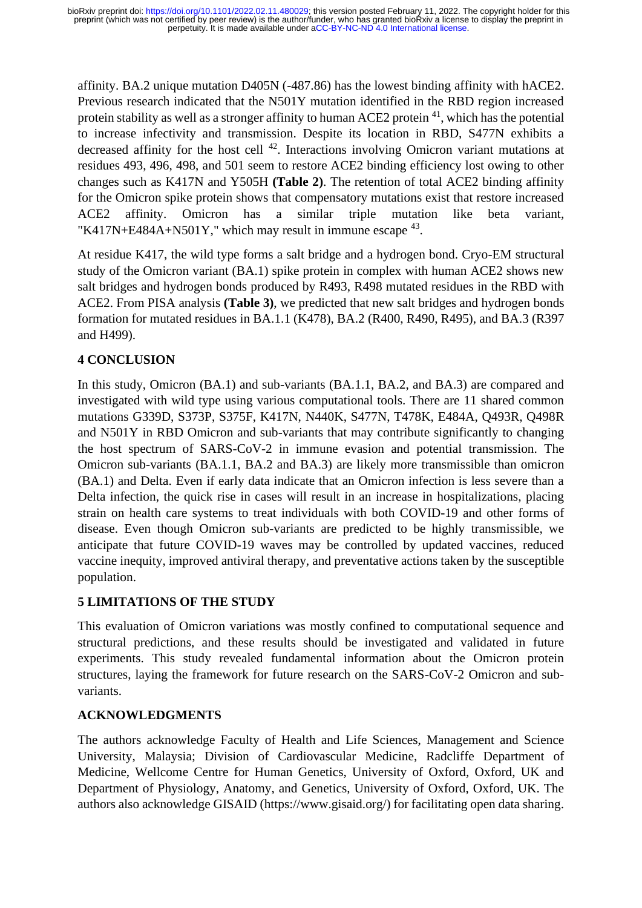affinity. BA.2 unique mutation D405N (-487.86) has the lowest binding affinity with hACE2. Previous research indicated that the N501Y mutation identified in the RBD region increased protein stability as well as a stronger affinity to human ACE2 protein <sup>41</sup>, which has the potential to increase infectivity and transmission. Despite its location in RBD, S477N exhibits a decreased affinity for the host cell <sup>42</sup>. Interactions involving Omicron variant mutations at residues 493, 496, 498, and 501 seem to restore ACE2 binding efficiency lost owing to other changes such as K417N and Y505H **(Table 2)**. The retention of total ACE2 binding affinity for the Omicron spike protein shows that compensatory mutations exist that restore increased ACE2 affinity. Omicron has a similar triple mutation like beta variant, "K417N+E484A+N501Y," which may result in immune escape  $43$ .

At residue K417, the wild type forms a salt bridge and a hydrogen bond. Cryo-EM structural study of the Omicron variant (BA.1) spike protein in complex with human ACE2 shows new salt bridges and hydrogen bonds produced by R493, R498 mutated residues in the RBD with ACE2. From PISA analysis **(Table 3)**, we predicted that new salt bridges and hydrogen bonds formation for mutated residues in BA.1.1 (K478), BA.2 (R400, R490, R495), and BA.3 (R397 and H499).

# **4 CONCLUSION**

In this study, Omicron (BA.1) and sub-variants (BA.1.1, BA.2, and BA.3) are compared and investigated with wild type using various computational tools. There are 11 shared common mutations G339D, S373P, S375F, K417N, N440K, S477N, T478K, E484A, Q493R, Q498R and N501Y in RBD Omicron and sub-variants that may contribute significantly to changing the host spectrum of SARS-CoV-2 in immune evasion and potential transmission. The Omicron sub-variants (BA.1.1, BA.2 and BA.3) are likely more transmissible than omicron (BA.1) and Delta. Even if early data indicate that an Omicron infection is less severe than a Delta infection, the quick rise in cases will result in an increase in hospitalizations, placing strain on health care systems to treat individuals with both COVID-19 and other forms of disease. Even though Omicron sub-variants are predicted to be highly transmissible, we anticipate that future COVID-19 waves may be controlled by updated vaccines, reduced vaccine inequity, improved antiviral therapy, and preventative actions taken by the susceptible population.

# **5 LIMITATIONS OF THE STUDY**

This evaluation of Omicron variations was mostly confined to computational sequence and structural predictions, and these results should be investigated and validated in future experiments. This study revealed fundamental information about the Omicron protein structures, laying the framework for future research on the SARS-CoV-2 Omicron and subvariants.

# **ACKNOWLEDGMENTS**

The authors acknowledge Faculty of Health and Life Sciences, Management and Science University, Malaysia; Division of Cardiovascular Medicine, Radcliffe Department of Medicine, Wellcome Centre for Human Genetics, University of Oxford, Oxford, UK and Department of Physiology, Anatomy, and Genetics, University of Oxford, Oxford, UK. The authors also acknowledge GISAID (https://www.gisaid.org/) for facilitating open data sharing.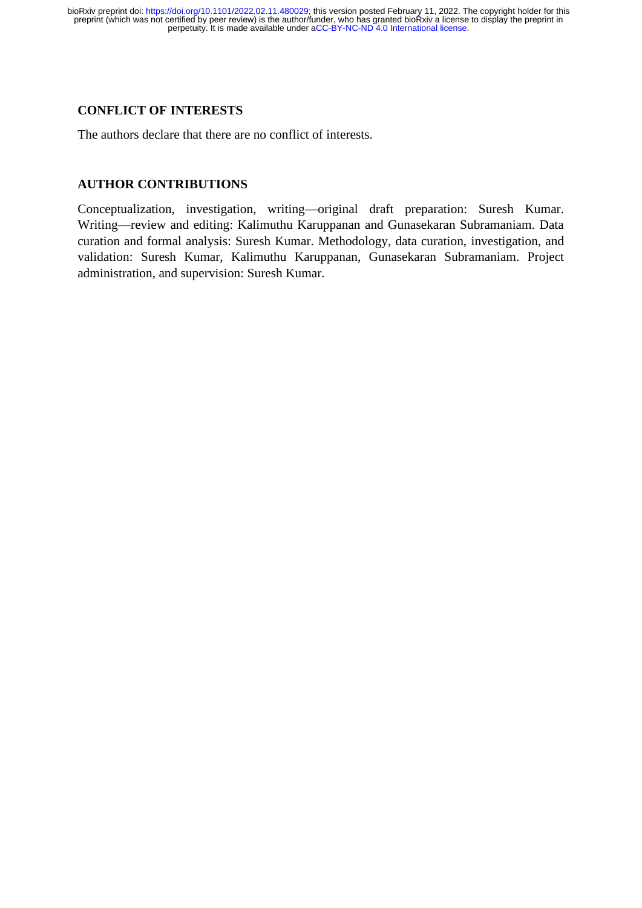#### **CONFLICT OF INTERESTS**

The authors declare that there are no conflict of interests.

### **AUTHOR CONTRIBUTIONS**

Conceptualization, investigation, writing—original draft preparation: Suresh Kumar. Writing—review and editing: Kalimuthu Karuppanan and Gunasekaran Subramaniam. Data curation and formal analysis: Suresh Kumar. Methodology, data curation, investigation, and validation: Suresh Kumar, Kalimuthu Karuppanan, Gunasekaran Subramaniam. Project administration, and supervision: Suresh Kumar.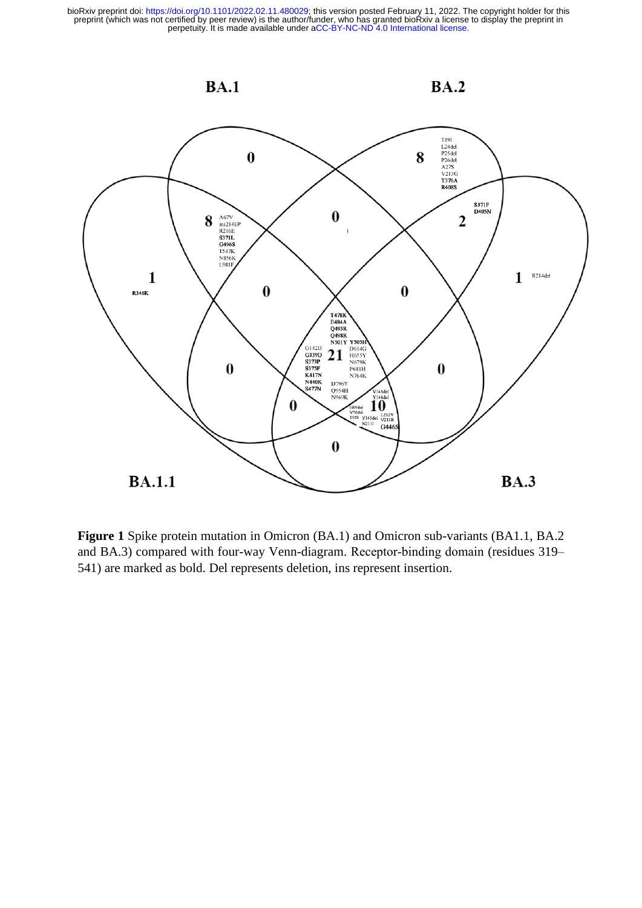

**Figure 1** Spike protein mutation in Omicron (BA.1) and Omicron sub-variants (BA1.1, BA.2 and BA.3) compared with four-way Venn-diagram. Receptor-binding domain (residues 319– 541) are marked as bold. Del represents deletion, ins represent insertion.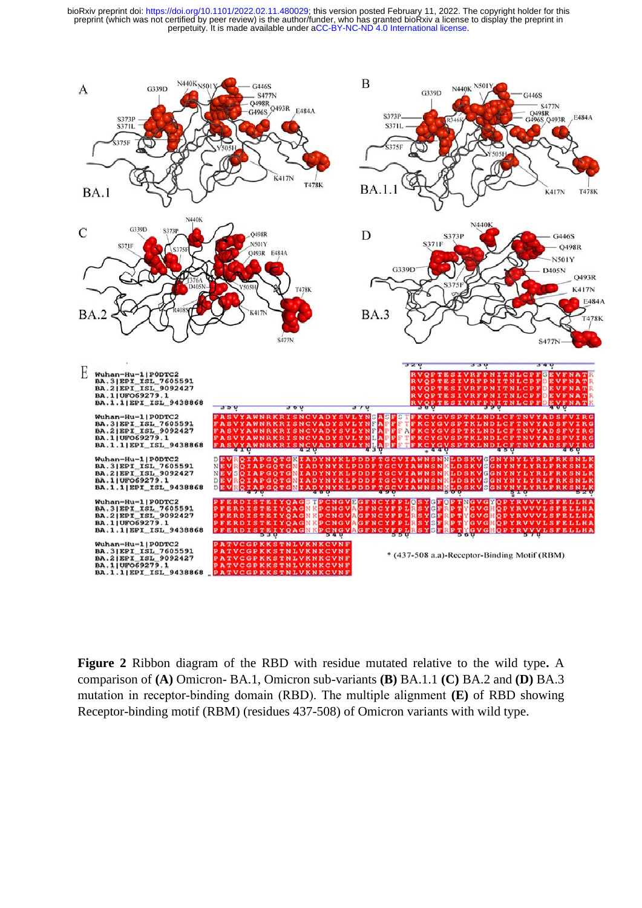

**Figure 2** Ribbon diagram of the RBD with residue mutated relative to the wild type**.** A comparison of **(A)** Omicron- BA.1, Omicron sub-variants **(B)** BA.1.1 **(C)** BA.2 and **(D)** BA.3 mutation in receptor‐binding domain (RBD). The multiple alignment **(E)** of RBD showing Receptor-binding motif (RBM) (residues 437-508) of Omicron variants with wild type.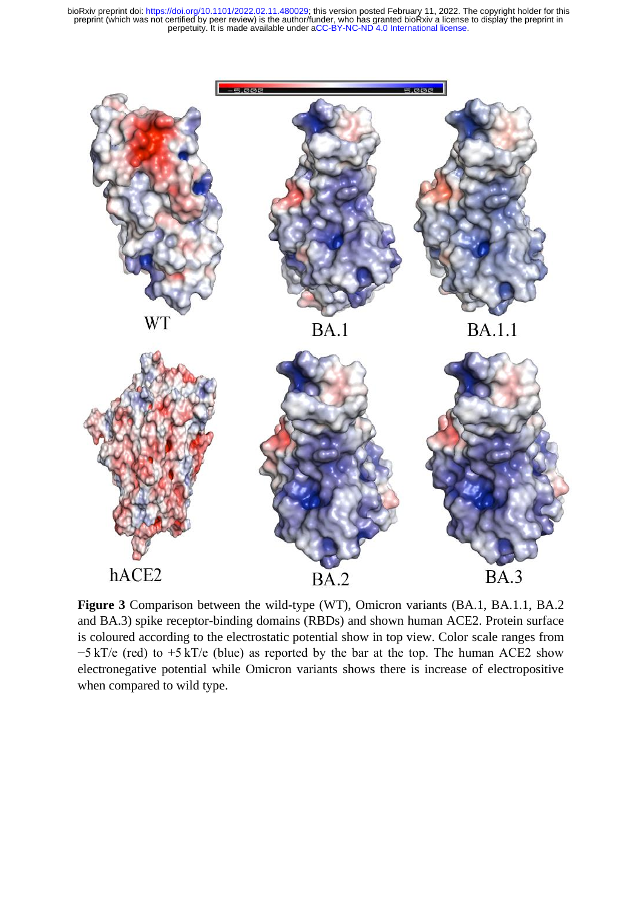

**Figure 3** Comparison between the wild-type (WT), Omicron variants (BA.1, BA.1.1, BA.2 and BA.3) spike receptor-binding domains (RBDs) and shown human ACE2. Protein surface is coloured according to the electrostatic potential show in top view. Color scale ranges from −5 kT/e (red) to +5 kT/e (blue) as reported by the bar at the top. The human ACE2 show electronegative potential while Omicron variants shows there is increase of electropositive when compared to wild type.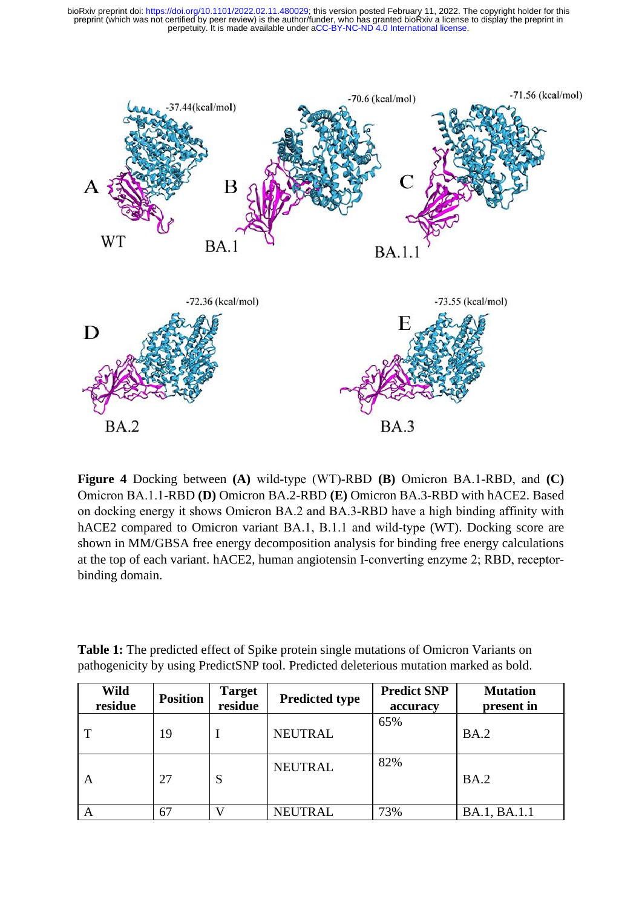

**Figure 4** Docking between **(A)** wild‐type (WT)‐RBD **(B)** Omicron BA.1‐RBD, and **(C)** Omicron BA.1.1‐RBD **(D)** Omicron BA.2-RBD **(E)** Omicron BA.3-RBD with hACE2. Based on docking energy it shows Omicron BA.2 and BA.3‐RBD have a high binding affinity with hACE2 compared to Omicron variant BA.1, B.1.1 and wild-type (WT). Docking score are shown in MM/GBSA free energy decomposition analysis for binding free energy calculations at the top of each variant. hACE2, human angiotensin I-converting enzyme 2; RBD, receptor‐ binding domain.

**Table 1:** The predicted effect of Spike protein single mutations of Omicron Variants on pathogenicity by using PredictSNP tool. Predicted deleterious mutation marked as bold.

| Wild<br>residue | <b>Position</b> | <b>Target</b><br>residue | <b>Predicted type</b> | <b>Predict SNP</b><br>accuracy | <b>Mutation</b><br>present in |
|-----------------|-----------------|--------------------------|-----------------------|--------------------------------|-------------------------------|
|                 | 19              |                          | <b>NEUTRAL</b>        | 65%                            | BA.2                          |
| A               | 27              | S                        | <b>NEUTRAL</b>        | 82%                            | BA.2                          |
|                 | 67              |                          | <b>NEUTRAL</b>        | 73%                            | BA.1, BA.1.1                  |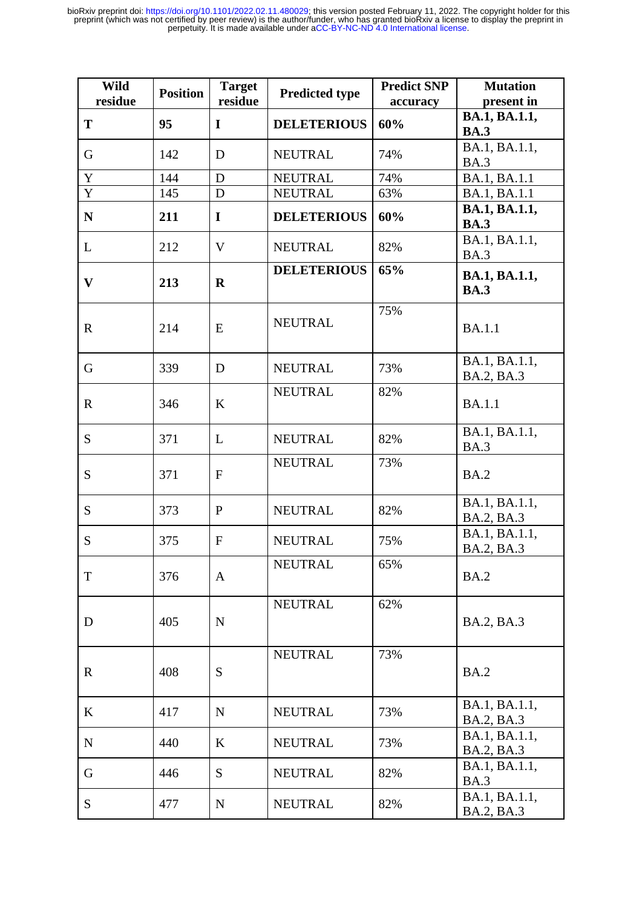| Wild<br>residue | <b>Position</b> | <b>Target</b><br>residue | <b>Predicted type</b> | <b>Predict SNP</b><br>accuracy | <b>Mutation</b><br>present in |
|-----------------|-----------------|--------------------------|-----------------------|--------------------------------|-------------------------------|
| T               | 95              | $\bf{I}$                 | <b>DELETERIOUS</b>    | 60%                            | BA.1, BA.1.1,                 |
|                 |                 |                          |                       |                                | <b>BA.3</b><br>BA.1, BA.1.1,  |
| G               | 142             | D                        | <b>NEUTRAL</b>        | 74%                            | <b>BA.3</b>                   |
| $\mathbf Y$     | 144             | D                        | <b>NEUTRAL</b>        | 74%                            | BA.1, BA.1.1                  |
| Y               | 145             | D                        | <b>NEUTRAL</b>        | 63%                            | BA.1, BA.1.1                  |
| ${\bf N}$       | 211             | $\mathbf I$              | <b>DELETERIOUS</b>    | 60%                            | BA.1, BA.1.1,<br><b>BA.3</b>  |
| L               | 212             | $\mathbf{V}$             | <b>NEUTRAL</b>        | 82%                            | BA.1, BA.1.1,<br><b>BA.3</b>  |
| $\mathbf{V}$    | 213             | $\mathbf R$              | <b>DELETERIOUS</b>    | 65%                            | BA.1, BA.1.1,<br><b>BA.3</b>  |
| $\mathbf R$     | 214             | E                        | <b>NEUTRAL</b>        | 75%                            | <b>BA.1.1</b>                 |
| G               | 339             | D                        | <b>NEUTRAL</b>        | 73%                            | BA.1, BA.1.1,<br>BA.2, BA.3   |
| $\mathbf R$     | 346             | $\bf K$                  | <b>NEUTRAL</b>        | 82%                            | <b>BA.1.1</b>                 |
| S               | 371             | L                        | <b>NEUTRAL</b>        | 82%                            | BA.1, BA.1.1,<br><b>BA.3</b>  |
| S               | 371             | $\mathbf{F}$             | <b>NEUTRAL</b>        | 73%                            | <b>BA.2</b>                   |
| S               | 373             | $\mathbf{P}$             | <b>NEUTRAL</b>        | 82%                            | BA.1, BA.1.1,<br>BA.2, BA.3   |
| S               | 375             | $\mathbf{F}$             | <b>NEUTRAL</b>        | 75%                            | BA.1, BA.1.1,<br>BA.2, BA.3   |
| $\mathbf T$     | 376             | A                        | <b>NEUTRAL</b>        | 65%                            | <b>BA.2</b>                   |
| D               | 405             | $\mathbf N$              | <b>NEUTRAL</b>        | 62%                            | BA.2, BA.3                    |
| $\mathbf R$     | 408             | S                        | <b>NEUTRAL</b>        | 73%                            | <b>BA.2</b>                   |
| K               | 417             | $\mathbf N$              | <b>NEUTRAL</b>        | 73%                            | BA.1, BA.1.1,<br>BA.2, BA.3   |
| ${\bf N}$       | 440             | $\bf K$                  | <b>NEUTRAL</b>        | 73%                            | BA.1, BA.1.1,<br>BA.2, BA.3   |
| G               | 446             | S                        | <b>NEUTRAL</b>        | 82%                            | BA.1, BA.1.1,<br><b>BA.3</b>  |
| S               | 477             | ${\bf N}$                | <b>NEUTRAL</b>        | 82%                            | BA.1, BA.1.1,<br>BA.2, BA.3   |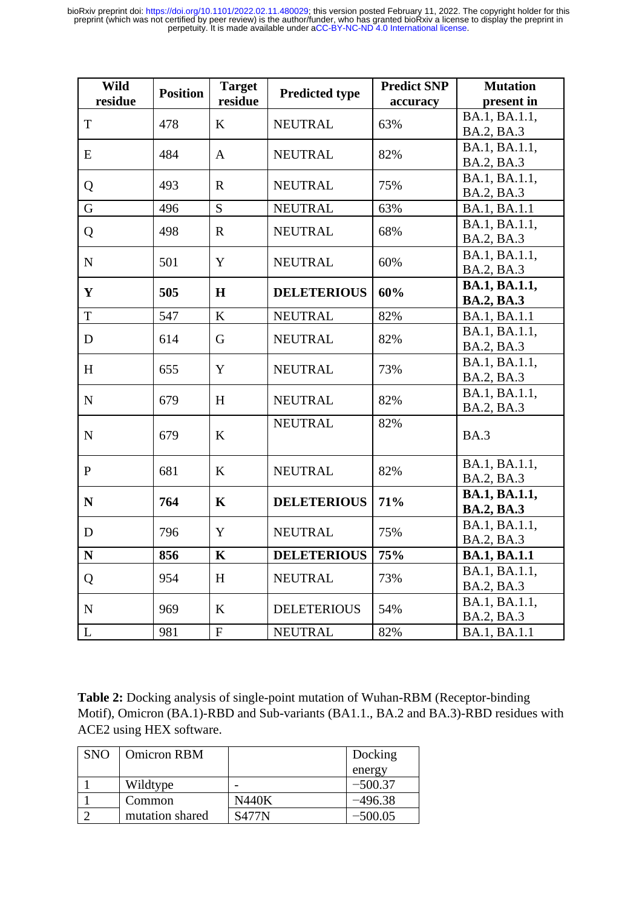| <b>Wild</b>  | <b>Position</b> | <b>Target</b> | <b>Predicted type</b> | <b>Predict SNP</b> | <b>Mutation</b>     |
|--------------|-----------------|---------------|-----------------------|--------------------|---------------------|
| residue      |                 | residue       |                       | accuracy           | present in          |
| T            | 478             | K             | <b>NEUTRAL</b>        | 63%                | BA.1, BA.1.1,       |
|              |                 |               |                       |                    | BA.2, BA.3          |
| E            | 484             | A             | <b>NEUTRAL</b>        | 82%                | BA.1, BA.1.1,       |
|              |                 |               |                       |                    | BA.2, BA.3          |
| Q            | 493             | $\mathbf R$   | <b>NEUTRAL</b>        | 75%                | BA.1, BA.1.1,       |
|              |                 |               |                       |                    | BA.2, BA.3          |
| G            | 496             | S             | <b>NEUTRAL</b>        | 63%                | BA.1, BA.1.1        |
| Q            | 498             | $\mathbf R$   | <b>NEUTRAL</b>        | 68%                | BA.1, BA.1.1,       |
|              |                 |               |                       |                    | BA.2, BA.3          |
| ${\bf N}$    | 501             | Y             | <b>NEUTRAL</b>        | 60%                | BA.1, BA.1.1,       |
|              |                 |               |                       |                    | BA.2, BA.3          |
| Y            | 505             | H             | <b>DELETERIOUS</b>    | 60%                | BA.1, BA.1.1,       |
|              |                 |               |                       |                    | <b>BA.2, BA.3</b>   |
| T            | 547             | K             | <b>NEUTRAL</b>        | 82%                | BA.1, BA.1.1        |
| D            | 614             | G             | <b>NEUTRAL</b>        | 82%                | BA.1, BA.1.1,       |
|              |                 |               |                       |                    | BA.2, BA.3          |
| H            | 655             | Y             | <b>NEUTRAL</b>        | 73%                | BA.1, BA.1.1,       |
|              |                 |               |                       |                    | BA.2, BA.3          |
| ${\bf N}$    | 679             | H             | <b>NEUTRAL</b>        | 82%                | BA.1, BA.1.1,       |
|              |                 |               |                       |                    | BA.2, BA.3          |
| ${\bf N}$    | 679             | K             | <b>NEUTRAL</b>        | 82%                | <b>BA.3</b>         |
|              |                 |               |                       |                    |                     |
|              |                 |               |                       |                    | BA.1, BA.1.1,       |
| $\mathbf{P}$ | 681             | K             | <b>NEUTRAL</b>        | 82%                | BA.2, BA.3          |
|              |                 |               |                       |                    | BA.1, BA.1.1,       |
| $\mathbf N$  | 764             | $\mathbf K$   | <b>DELETERIOUS</b>    | 71%                | <b>BA.2, BA.3</b>   |
|              |                 |               |                       |                    | BA.1, BA.1.1,       |
| D            | 796             | Y             | <b>NEUTRAL</b>        | 75%                | BA.2, BA.3          |
| ${\bf N}$    | 856             | $\mathbf K$   | <b>DELETERIOUS</b>    | 75%                | <b>BA.1, BA.1.1</b> |
|              |                 |               |                       |                    | BA.1, BA.1.1,       |
| Q            | 954             | H             | <b>NEUTRAL</b>        | 73%                | BA.2, BA.3          |
|              |                 |               |                       |                    | BA.1, BA.1.1,       |
| ${\bf N}$    | 969             | K             | <b>DELETERIOUS</b>    | 54%                | BA.2, BA.3          |
| L            | 981             | ${\bf F}$     | <b>NEUTRAL</b>        | 82%                | BA.1, BA.1.1        |

**Table 2:** Docking analysis of single-point mutation of Wuhan-RBM (Receptor-binding Motif), Omicron (BA.1)-RBD and Sub-variants (BA1.1., BA.2 and BA.3)-RBD residues with ACE2 using HEX software.

| <b>SNO</b> | <b>Omicron RBM</b> |       | Docking   |
|------------|--------------------|-------|-----------|
|            |                    |       | energy    |
|            | Wildtype           |       | $-500.37$ |
|            | Common             | N440K | –496.38   |
|            | mutation shared    | S477N | $-500.05$ |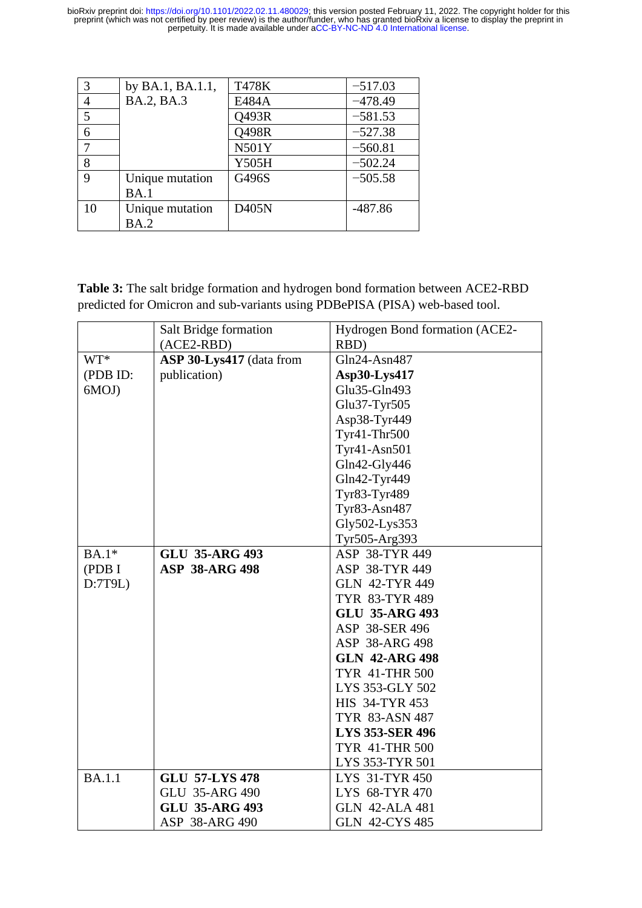|             | by BA.1, BA.1.1, | T478K        | $-517.03$ |
|-------------|------------------|--------------|-----------|
| 4           | BA.2, BA.3       | E484A        | $-478.49$ |
| 5           |                  | Q493R        | $-581.53$ |
| 6           |                  | Q498R        | $-527.38$ |
|             |                  | <b>N501Y</b> | $-560.81$ |
| 8           |                  | Y505H        | $-502.24$ |
| $\mathbf Q$ | Unique mutation  | G496S        | $-505.58$ |
|             | BA.1             |              |           |
| 10          | Unique mutation  | D405N        | $-487.86$ |
|             | BA.2             |              |           |

**Table 3:** The salt bridge formation and hydrogen bond formation between ACE2-RBD predicted for Omicron and sub-variants using PDBePISA (PISA) web-based tool.

|               | Salt Bridge formation    | Hydrogen Bond formation (ACE2- |
|---------------|--------------------------|--------------------------------|
|               | $(ACE2-RBD)$             | RBD)                           |
| WT*           | ASP 30-Lys417 (data from | Gln24-Asn487                   |
| (PDB ID:      | publication)             | Asp30-Lys417                   |
| 6MOJ)         |                          | Glu35-Gln493                   |
|               |                          | Glu37-Tyr505                   |
|               |                          | Asp38-Tyr449                   |
|               |                          | Tyr41-Thr500                   |
|               |                          | Tyr41-Asn501                   |
|               |                          | Gln42-Gly446                   |
|               |                          | Gln42-Tyr449                   |
|               |                          | Tyr83-Tyr489                   |
|               |                          | Tyr83-Asn487                   |
|               |                          | Gly502-Lys353                  |
|               |                          | Tyr505-Arg393                  |
| $BA.1*$       | <b>GLU 35-ARG 493</b>    | ASP 38-TYR 449                 |
| (PDB I        | <b>ASP 38-ARG 498</b>    | ASP 38-TYR 449                 |
| D:7T9L)       |                          | <b>GLN 42-TYR 449</b>          |
|               |                          | TYR 83-TYR 489                 |
|               |                          | <b>GLU 35-ARG 493</b>          |
|               |                          | ASP 38-SER 496                 |
|               |                          | ASP 38-ARG 498                 |
|               |                          | <b>GLN 42-ARG 498</b>          |
|               |                          | <b>TYR 41-THR 500</b>          |
|               |                          | LYS 353-GLY 502                |
|               |                          | HIS 34-TYR 453                 |
|               |                          | TYR 83-ASN 487                 |
|               |                          | <b>LYS 353-SER 496</b>         |
|               |                          | <b>TYR 41-THR 500</b>          |
|               |                          | LYS 353-TYR 501                |
| <b>BA.1.1</b> | <b>GLU 57-LYS 478</b>    | LYS 31-TYR 450                 |
|               | <b>GLU 35-ARG 490</b>    | LYS 68-TYR 470                 |
|               | <b>GLU 35-ARG 493</b>    | <b>GLN 42-ALA 481</b>          |
|               | ASP 38-ARG 490           | <b>GLN 42-CYS 485</b>          |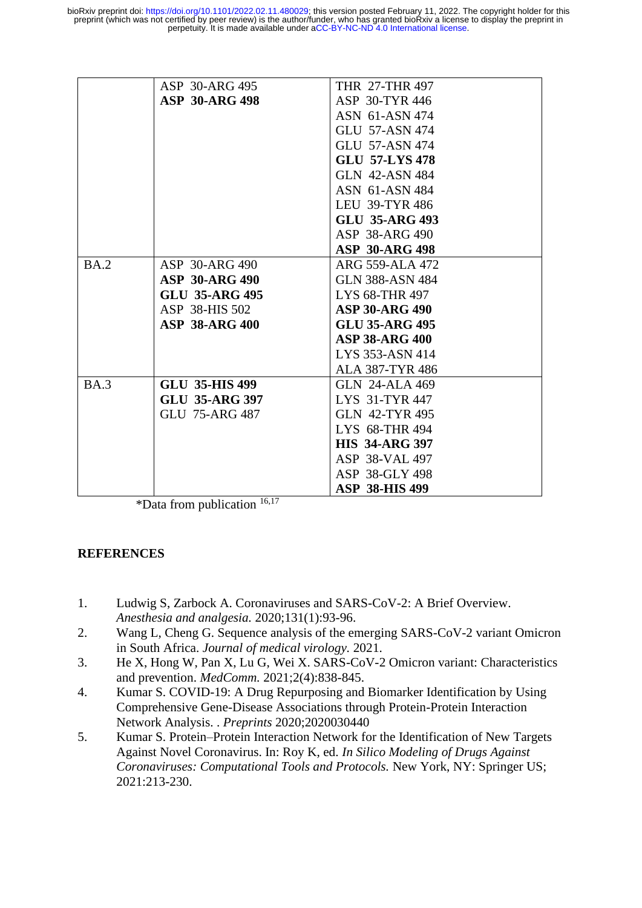|             | ASP 30-ARG 495        | THR 27-THR 497         |
|-------------|-----------------------|------------------------|
|             | <b>ASP 30-ARG 498</b> | ASP 30-TYR 446         |
|             |                       | ASN 61-ASN 474         |
|             |                       | <b>GLU 57-ASN 474</b>  |
|             |                       | <b>GLU 57-ASN 474</b>  |
|             |                       | <b>GLU 57-LYS 478</b>  |
|             |                       | <b>GLN 42-ASN 484</b>  |
|             |                       | ASN 61-ASN 484         |
|             |                       | <b>LEU 39-TYR 486</b>  |
|             |                       | <b>GLU 35-ARG 493</b>  |
|             |                       | ASP 38-ARG 490         |
|             |                       | <b>ASP 30-ARG 498</b>  |
| <b>BA.2</b> | ASP 30-ARG 490        | ARG 559-ALA 472        |
|             | <b>ASP 30-ARG 490</b> | <b>GLN 388-ASN 484</b> |
|             | <b>GLU 35-ARG 495</b> | LYS 68-THR 497         |
|             | ASP 38-HIS 502        | <b>ASP 30-ARG 490</b>  |
|             | <b>ASP 38-ARG 400</b> | <b>GLU 35-ARG 495</b>  |
|             |                       | <b>ASP 38-ARG 400</b>  |
|             |                       | LYS 353-ASN 414        |
|             |                       | <b>ALA 387-TYR 486</b> |
| BA.3        | <b>GLU 35-HIS 499</b> | <b>GLN 24-ALA 469</b>  |
|             | <b>GLU 35-ARG 397</b> | LYS 31-TYR 447         |
|             | GLU 75-ARG 487        | <b>GLN 42-TYR 495</b>  |
|             |                       | LYS 68-THR 494         |
|             |                       | <b>HIS 34-ARG 397</b>  |
|             |                       | ASP 38-VAL 497         |
|             |                       | ASP 38-GLY 498         |
|             |                       | <b>ASP 38-HIS 499</b>  |

\*Data from publication  $16,17$ 

### **REFERENCES**

- 1. Ludwig S, Zarbock A. Coronaviruses and SARS-CoV-2: A Brief Overview. *Anesthesia and analgesia.* 2020;131(1):93-96.
- 2. Wang L, Cheng G. Sequence analysis of the emerging SARS-CoV-2 variant Omicron in South Africa. *Journal of medical virology.* 2021.
- 3. He X, Hong W, Pan X, Lu G, Wei X. SARS-CoV-2 Omicron variant: Characteristics and prevention. *MedComm.* 2021;2(4):838-845.
- 4. Kumar S. COVID-19: A Drug Repurposing and Biomarker Identification by Using Comprehensive Gene-Disease Associations through Protein-Protein Interaction Network Analysis. . *Preprints* 2020;2020030440
- 5. Kumar S. Protein–Protein Interaction Network for the Identification of New Targets Against Novel Coronavirus. In: Roy K, ed. *In Silico Modeling of Drugs Against Coronaviruses: Computational Tools and Protocols.* New York, NY: Springer US; 2021:213-230.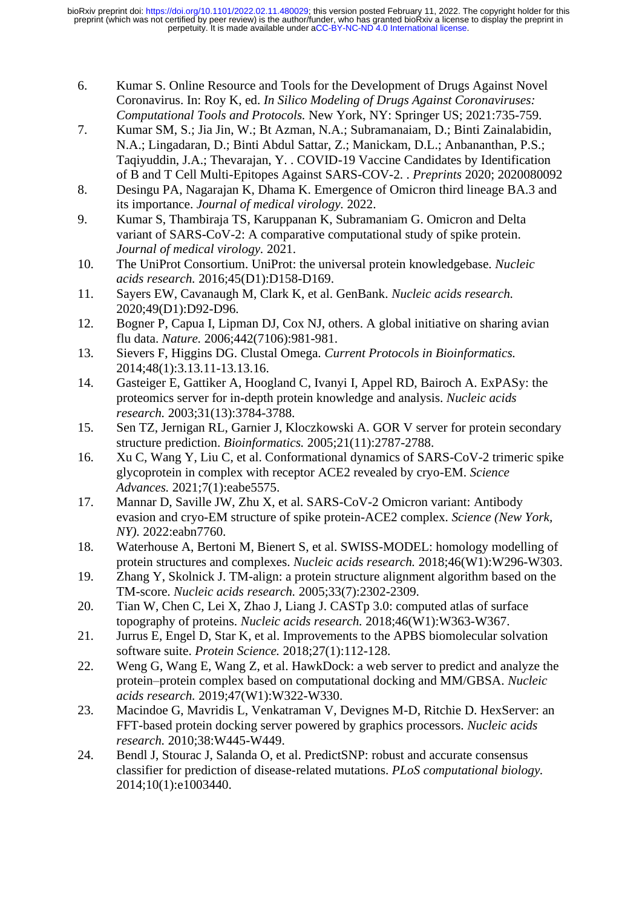- 6. Kumar S. Online Resource and Tools for the Development of Drugs Against Novel Coronavirus. In: Roy K, ed. *In Silico Modeling of Drugs Against Coronaviruses: Computational Tools and Protocols.* New York, NY: Springer US; 2021:735-759.
- 7. Kumar SM, S.; Jia Jin, W.; Bt Azman, N.A.; Subramanaiam, D.; Binti Zainalabidin, N.A.; Lingadaran, D.; Binti Abdul Sattar, Z.; Manickam, D.L.; Anbananthan, P.S.; Taqiyuddin, J.A.; Thevarajan, Y. . COVID-19 Vaccine Candidates by Identification of B and T Cell Multi-Epitopes Against SARS-COV-2. . *Preprints* 2020; 2020080092
- 8. Desingu PA, Nagarajan K, Dhama K. Emergence of Omicron third lineage BA.3 and its importance. *Journal of medical virology.* 2022.
- 9. Kumar S, Thambiraja TS, Karuppanan K, Subramaniam G. Omicron and Delta variant of SARS-CoV-2: A comparative computational study of spike protein. *Journal of medical virology.* 2021.
- 10. The UniProt Consortium. UniProt: the universal protein knowledgebase. *Nucleic acids research.* 2016;45(D1):D158-D169.
- 11. Sayers EW, Cavanaugh M, Clark K, et al. GenBank. *Nucleic acids research.*  2020;49(D1):D92-D96.
- 12. Bogner P, Capua I, Lipman DJ, Cox NJ, others. A global initiative on sharing avian flu data. *Nature.* 2006;442(7106):981-981.
- 13. Sievers F, Higgins DG. Clustal Omega. *Current Protocols in Bioinformatics.*  2014;48(1):3.13.11-13.13.16.
- 14. Gasteiger E, Gattiker A, Hoogland C, Ivanyi I, Appel RD, Bairoch A. ExPASy: the proteomics server for in-depth protein knowledge and analysis. *Nucleic acids research.* 2003;31(13):3784-3788.
- 15. Sen TZ, Jernigan RL, Garnier J, Kloczkowski A. GOR V server for protein secondary structure prediction. *Bioinformatics.* 2005;21(11):2787-2788.
- 16. Xu C, Wang Y, Liu C, et al. Conformational dynamics of SARS-CoV-2 trimeric spike glycoprotein in complex with receptor ACE2 revealed by cryo-EM. *Science Advances.* 2021;7(1):eabe5575.
- 17. Mannar D, Saville JW, Zhu X, et al. SARS-CoV-2 Omicron variant: Antibody evasion and cryo-EM structure of spike protein-ACE2 complex. *Science (New York, NY).* 2022:eabn7760.
- 18. Waterhouse A, Bertoni M, Bienert S, et al. SWISS-MODEL: homology modelling of protein structures and complexes. *Nucleic acids research.* 2018;46(W1):W296-W303.
- 19. Zhang Y, Skolnick J. TM-align: a protein structure alignment algorithm based on the TM-score. *Nucleic acids research.* 2005;33(7):2302-2309.
- 20. Tian W, Chen C, Lei X, Zhao J, Liang J. CASTp 3.0: computed atlas of surface topography of proteins. *Nucleic acids research.* 2018;46(W1):W363-W367.
- 21. Jurrus E, Engel D, Star K, et al. Improvements to the APBS biomolecular solvation software suite. *Protein Science.* 2018;27(1):112-128.
- 22. Weng G, Wang E, Wang Z, et al. HawkDock: a web server to predict and analyze the protein–protein complex based on computational docking and MM/GBSA. *Nucleic acids research.* 2019;47(W1):W322-W330.
- 23. Macindoe G, Mavridis L, Venkatraman V, Devignes M-D, Ritchie D. HexServer: an FFT-based protein docking server powered by graphics processors. *Nucleic acids research.* 2010;38:W445-W449.
- 24. Bendl J, Stourac J, Salanda O, et al. PredictSNP: robust and accurate consensus classifier for prediction of disease-related mutations. *PLoS computational biology.*  2014;10(1):e1003440.